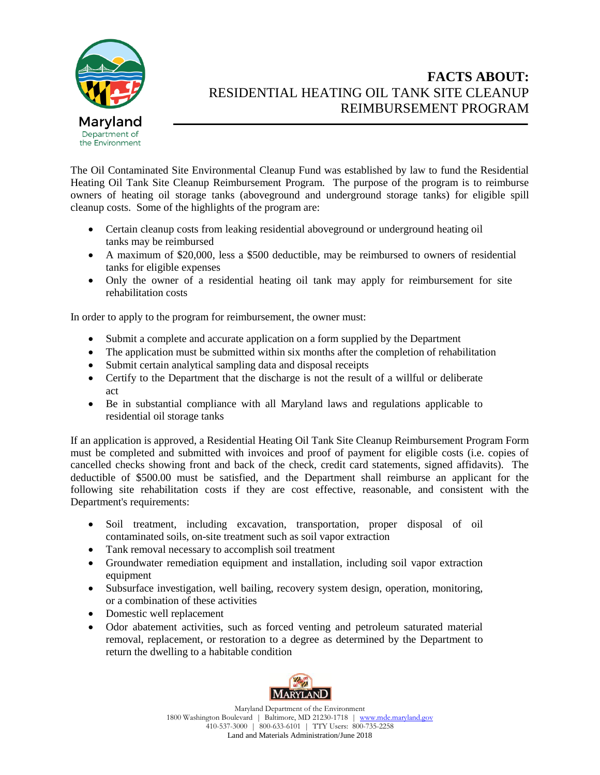

## **FACTS ABOUT:** RESIDENTIAL HEATING OIL TANK SITE CLEANUP REIMBURSEMENT PROGRAM

The Oil Contaminated Site Environmental Cleanup Fund was established by law to fund the Residential Heating Oil Tank Site Cleanup Reimbursement Program. The purpose of the program is to reimburse owners of heating oil storage tanks (aboveground and underground storage tanks) for eligible spill cleanup costs. Some of the highlights of the program are:

- Certain cleanup costs from leaking residential aboveground or underground heating oil tanks may be reimbursed
- A maximum of \$20,000, less a \$500 deductible, may be reimbursed to owners of residential tanks for eligible expenses
- Only the owner of a residential heating oil tank may apply for reimbursement for site rehabilitation costs

In order to apply to the program for reimbursement, the owner must:

- Submit a complete and accurate application on a form supplied by the Department
- The application must be submitted within six months after the completion of rehabilitation
- Submit certain analytical sampling data and disposal receipts
- Certify to the Department that the discharge is not the result of a willful or deliberate act
- Be in substantial compliance with all Maryland laws and regulations applicable to residential oil storage tanks

If an application is approved, a Residential Heating Oil Tank Site Cleanup Reimbursement Program Form must be completed and submitted with invoices and proof of payment for eligible costs (i.e. copies of cancelled checks showing front and back of the check, credit card statements, signed affidavits). The deductible of \$500.00 must be satisfied, and the Department shall reimburse an applicant for the following site rehabilitation costs if they are cost effective, reasonable, and consistent with the Department's requirements:

- Soil treatment, including excavation, transportation, proper disposal of oil contaminated soils, on-site treatment such as soil vapor extraction
- Tank removal necessary to accomplish soil treatment
- Groundwater remediation equipment and installation, including soil vapor extraction equipment
- Subsurface investigation, well bailing, recovery system design, operation, monitoring, or a combination of these activities
- Domestic well replacement
- Odor abatement activities, such as forced venting and petroleum saturated material removal, replacement, or restoration to a degree as determined by the Department to return the dwelling to a habitable condition



Maryland Department of the Environment 1800 Washington Boulevard | Baltimore, MD 21230-1718 | www.mde.maryland.gov 410-537-3000 | 800-633-6101 | TTY Users: 800-735-2258 Land and Materials Administration/June 2018